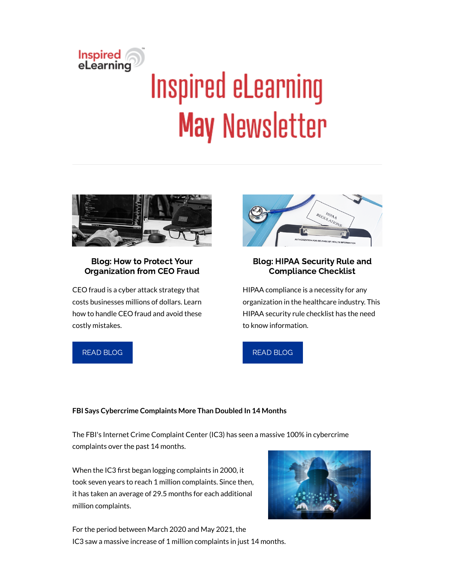# Inspired<br>eLearning **Inspired eLearning May Newsletter**



### Blog: How to Protect Your Organization from CEO Fraud

CEO fraud is a cyber attack strategy that costs businesses millions of dollars. Learn how to handle CEO fraud and avoid these costly mistakes.





## Blog: HIPAA Security Rule and Compliance Checklist

HIPAA compliance is a necessity for any organization in the healthcare industry. This HIPAA security rule checklist has the need to know information.



### **FBI Says Cybercrime Complaints More Than Doubled In 14 Months**

The FBI's Internet Crime Complaint Center (IC3) has seen a massive 100% in cybercrime complaints over the past 14 months.

When the IC3 first began logging complaints in 2000, it took seven years to reach 1 million complaints. Since then, it has taken an average of 29.5 months for each additional million complaints.



For the period between March 2020 and May 2021, the IC3 saw a massive increase of 1 million complaints in just 14 months.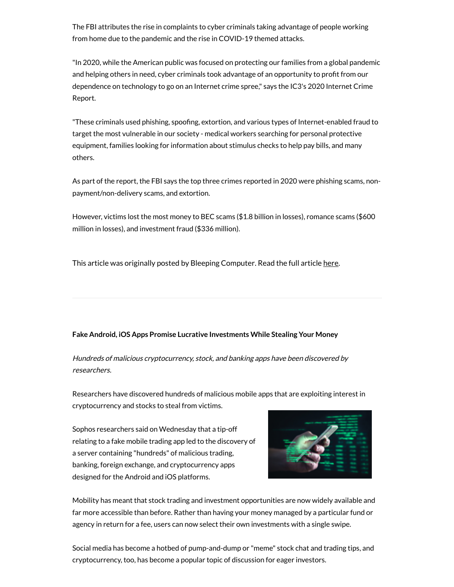The FBI attributes the rise in complaints to cyber criminals taking advantage of people working from home due to the pandemic and the rise in COVID-19 themed attacks.

"In 2020, while the American public was focused on protecting our families from a global pandemic and helping others in need, cyber criminals took advantage of an opportunity to profit from our dependence on technology to go on an Internet crime spree," says the IC3's 2020 Internet Crime Report.

"These criminals used phishing, spoofing, extortion, and various types of Internet-enabled fraud to target the most vulnerable in our society - medical workers searching for personal protective equipment, families looking for information about stimulus checks to help pay bills, and many others.

As part of the report, the FBI says the top three crimes reported in 2020 were phishing scams, nonpayment/non-delivery scams, and extortion.

However, victims lost the most money to BEC scams (\$1.8 billion in losses), romance scams (\$600 million in losses), and investment fraud (\$336 million).

This article was originally posted by Bleeping Computer. Read the full article [here.](https://www.bleepingcomputer.com/news/security/fbi-says-cybercrime-complaints-more-than-doubled-in-14-months/)

#### **Fake Android, iOS Apps Promise Lucrative Investments While Stealing Your Money**

Hundreds of malicious cryptocurrency, stock, and banking apps have been discovered by researchers.

Researchers have discovered hundreds of malicious mobile apps that are exploiting interest in cryptocurrency and stocks to steal from victims.

Sophos researchers said on Wednesday that a tip-off relating to a fake mobile trading app led to the discovery of a server containing "hundreds" of malicious trading, banking, foreign exchange, and cryptocurrency apps designed for the Android and iOS platforms.



Mobility has meant that stock trading and investment opportunities are now widely available and far more accessible than before. Rather than having your money managed by a particular fund or agency in return for a fee, users can now select their own investments with a single swipe.

Social media has become a hotbed of pump-and-dump or "meme" stock chat and trading tips, and cryptocurrency, too, has become a popular topic of discussion for eager investors.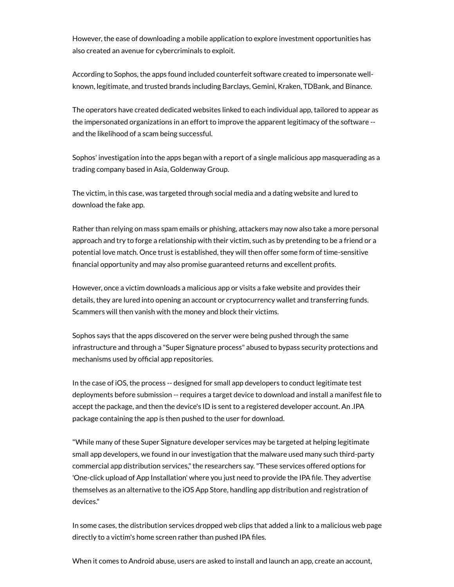However, the ease of downloading a mobile application to explore investment opportunities has also created an avenue for cybercriminals to exploit.

According to Sophos, the apps found included counterfeit software created to impersonate wellknown, legitimate, and trusted brands including Barclays, Gemini, Kraken, TDBank, and Binance.

The operators have created dedicated websites linked to each individual app, tailored to appear as the impersonated organizations in an effort to improve the apparent legitimacy of the software - and the likelihood of a scam being successful.

Sophos' investigation into the apps began with a report of a single malicious app masquerading as a trading company based in Asia, Goldenway Group.

The victim, in this case, was targeted through social media and a dating website and lured to download the fake app.

Rather than relying on mass spam emails or phishing, attackers may now also take a more personal approach and try to forge a relationship with their victim, such as by pretending to be a friend or a potential love match. Once trust is established, they will then offer some form of time-sensitive financial opportunity and may also promise guaranteed returns and excellent profits.

However, once a victim downloads a malicious app or visits a fake website and provides their details, they are lured into opening an account or cryptocurrency wallet and transferring funds. Scammers will then vanish with the money and block their victims.

Sophos says that the apps discovered on the server were being pushed through the same infrastructure and through a "Super Signature process" abused to bypass security protections and mechanisms used by official app repositories.

In the case of iOS, the process -- designed for small app developers to conduct legitimate test deployments before submission -- requires a target device to download and install a manifest file to accept the package, and then the device's ID is sent to a registered developer account. An .IPA package containing the app is then pushed to the user for download.

"While many of these Super Signature developer services may be targeted at helping legitimate small app developers, we found in our investigation that the malware used many such third-party commercial app distribution services,"the researchers say."These services offered options for 'One-click upload of App Installation' where you just need to provide the IPA file. They advertise themselves as an alternative to the iOS App Store, handling app distribution and registration of devices."

In some cases, the distribution services dropped web clips that added a link to a malicious web page directly to a victim's home screen rather than pushed IPA files.

When it comes to Android abuse, users are asked to install and launch an app, create an account,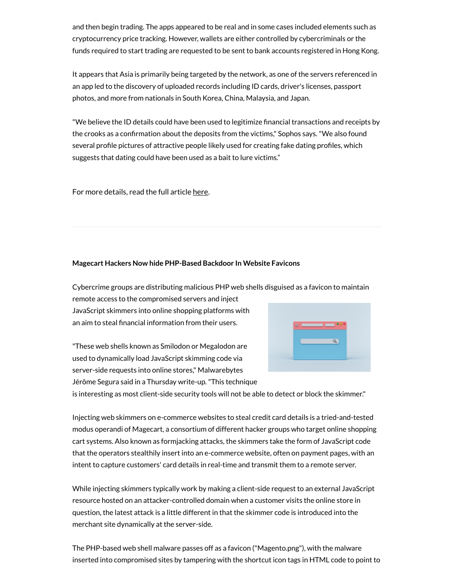and then begin trading. The apps appeared to be real and in some cases included elements such as cryptocurrency price tracking. However, wallets are either controlled by cybercriminals or the funds required to start trading are requested to be sent to bank accounts registered in Hong Kong.

It appears that Asia is primarily being targeted by the network, as one of the servers referenced in an app led to the discovery of uploaded records including ID cards, driver's licenses, passport photos, and more from nationals in South Korea, China, Malaysia, and Japan.

"We believe the ID details could have been used to legitimize financial transactions and receipts by the crooks as a confirmation about the deposits from the victims," Sophos says. "We also found several profile pictures of attractive people likely used for creating fake dating profiles, which suggests that dating could have been used as a bait to lure victims."

For more details, read the full article [here.](https://www.zdnet.com/article/fake-android-ios-apps-promise-lucrative-investments-while-stealing-your-money/)

#### **Magecart Hackers Now hide PHP-Based Backdoor In Website Favicons**

Cybercrime groups are distributing malicious PHP web shells disguised as a favicon to maintain remote access to the compromised servers and inject

JavaScript skimmers into online shopping platforms with an aim to steal financial information from their users.

"These web shells known as Smilodon or Megalodon are used to dynamically load JavaScript skimming code via server-side requests into online stores," Malwarebytes Jérôme Segura said in a Thursday write-up."This technique



is interesting as most client-side security tools will not be able to detect or block the skimmer."

Injecting web skimmers on e-commerce websites to steal credit card details is a tried-and-tested modus operandi of Magecart, a consortium of different hacker groups who target online shopping cart systems. Also known as formjacking attacks, the skimmers take the form of JavaScript code that the operators stealthily insert into an e-commerce website, often on payment pages, with an intent to capture customers' card details in real-time and transmit them to a remote server.

While injecting skimmers typically work by making a client-side request to an external JavaScript resource hosted on an attacker-controlled domain when a customer visits the online store in question, the latest attack is a little different in that the skimmer code is introduced into the merchant site dynamically at the server-side.

The PHP-based web shell malware passes off as a favicon ("Magento.png"), with the malware inserted into compromised sites by tampering with the shortcut icon tags in HTML code to point to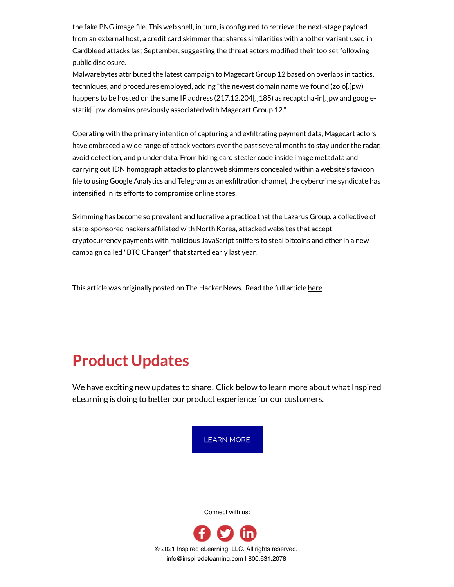the fake PNG image file. This web shell, in turn, is configured to retrieve the next-stage payload from an external host, a credit card skimmer that shares similarities with another variant used in Cardbleed attacks last September, suggesting the threat actors modified their toolset following public disclosure.

Malwarebytes attributed the latest campaign to Magecart Group 12 based on overlaps in tactics, techniques, and procedures employed, adding "the newest domain name we found (zolo[.]pw) happens to be hosted on the same IP address (217.12.204[.]185) as recaptcha-in[.]pw and googlestatik[.]pw, domains previously associated with Magecart Group 12."

Operating with the primary intention of capturing and exfiltrating payment data, Magecart actors have embraced a wide range of attack vectors over the past several months to stay under the radar, avoid detection, and plunder data. From hiding card stealer code inside image metadata and carrying out IDN homograph attacks to plant web skimmers concealed within a website's favicon file to using Google Analytics and Telegram as an exfiltration channel, the cybercrime syndicate has intensified in its efforts to compromise online stores.

Skimming has become so prevalent and lucrative a practice that the Lazarus Group, a collective of state-sponsored hackers afliated with North Korea, attacked websites that accept cryptocurrency payments with malicious JavaScript sniffers to steal bitcoins and ether in a new campaign called "BTC Changer"that started early last year.

This article was originally posted on The Hacker News. Read the full article [here.](https://thehackernews.com/2021/05/magecart-hackers-now-hide-php-based.html)

# **Product Updates**

We have exciting new updates to share! Click below to learn more about what Inspired eLearning is doing to better our product experience for our customers.



Connect with us: